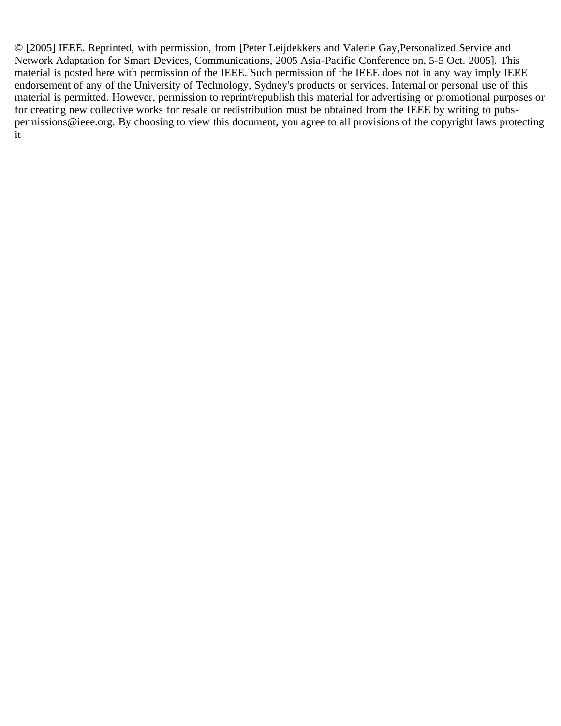© [2005] IEEE. Reprinted, with permission, from [Peter Leijdekkers and Valerie Gay,Personalized Service and Network Adaptation for Smart Devices, Communications, 2005 Asia-Pacific Conference on, 5-5 Oct. 2005]. This material is posted here with permission of the IEEE. Such permission of the IEEE does not in any way imply IEEE endorsement of any of the University of Technology, Sydney's products or services. Internal or personal use of this material is permitted. However, permission to reprint/republish this material for advertising or promotional purposes or for creating new collective works for resale or redistribution must be obtained from the IEEE by writing to pubspermissions@ieee.org. By choosing to view this document, you agree to all provisions of the copyright laws protecting it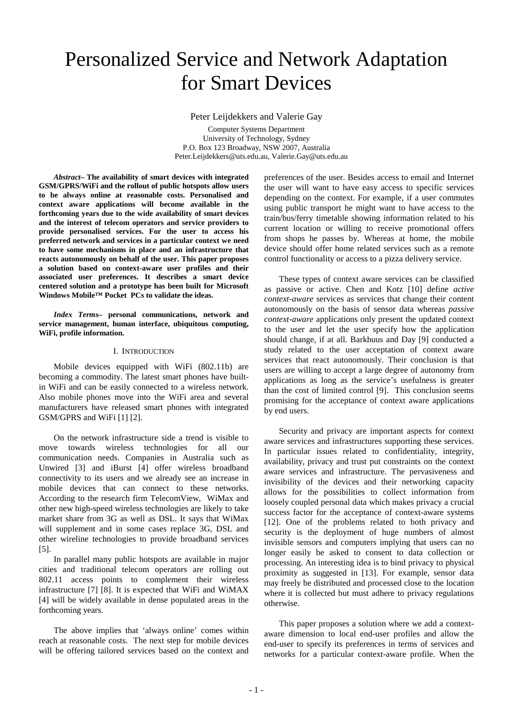# Personalized Service and Network Adaptation for Smart Devices

Peter Leijdekkers and Valerie Gay

Computer Systems Department University of Technology, Sydney P.O. Box 123 Broadway, NSW 2007, Australia Peter.Leijdekkers@uts.edu.au, Valerie.Gay@uts.edu.au

*Abstract–* **The availability of smart devices with integrated GSM/GPRS/WiFi and the rollout of public hotspots allow users to be always online at reasonable costs. Personalised and context aware applications will become available in the forthcoming years due to the wide availability of smart devices and the interest of telecom operators and service providers to provide personalised services. For the user to access his preferred network and services in a particular context we need to have some mechanisms in place and an infrastructure that reacts autonomously on behalf of the user. This paper proposes a solution based on context-aware user profiles and their associated user preferences. It describes a smart device centered solution and a prototype has been built for Microsoft Windows Mobile™ Pocket PCs to validate the ideas.**

*Index Terms–* **personal communications, network and service management, human interface, ubiquitous computing, WiFi, profile information.**

#### I. INTRODUCTION

Mobile devices equipped with WiFi (802.11b) are becoming a commodity. The latest smart phones have builtin WiFi and can be easily connected to a wireless network. Also mobile phones move into the WiFi area and several manufacturers have released smart phones with integrated GSM/GPRS and WiFi [\[1\]](#page-5-0) [\[2\]](#page-5-1).

On the network infrastructure side a trend is visible to move towards wireless technologies for all our communication needs. Companies in Australia such as Unwired [\[3\]](#page-5-2) and iBurst [\[4\]](#page-5-3) offer wireless broadband connectivity to its users and we already see an increase in mobile devices that can connect to these networks. According to the research firm TelecomView, WiMax and other new high-speed wireless technologies are likely to take market share from 3G as well as DSL. It says that WiMax will supplement and in some cases replace 3G, DSL and other wireline technologies to provide broadband services [\[5\]](#page-5-4).

In parallel many public hotspots are available in major cities and traditional telecom operators are rolling out 802.11 access points to complement their wireless infrastructure [\[7\]](#page-5-5) [\[8\]](#page-5-6). It is expected that WiFi and WiMAX [\[4\]](#page-5-3) will be widely available in dense populated areas in the forthcoming years.

The above implies that 'always online' comes within reach at reasonable costs. The next step for mobile devices will be offering tailored services based on the context and preferences of the user. Besides access to email and Internet the user will want to have easy access to specific services depending on the context. For example, if a user commutes using public transport he might want to have access to the train/bus/ferry timetable showing information related to his current location or willing to receive promotional offers from shops he passes by. Whereas at home, the mobile device should offer home related services such as a remote control functionality or access to a pizza delivery service.

These types of context aware services can be classified as passive or active. Chen and Kotz [\[10\]](#page-5-7) define *active context-aware* services as services that change their content autonomously on the basis of sensor data whereas *passive context-aware* applications only present the updated context to the user and let the user specify how the application should change, if at all. Barkhuus and Day [\[9\]](#page-5-8) conducted a study related to the user acceptation of context aware services that react autonomously. Their conclusion is that users are willing to accept a large degree of autonomy from applications as long as the service's usefulness is greater than the cost of limited control [\[9\]](#page-5-8). This conclusion seems promising for the acceptance of context aware applications by end users.

Security and privacy are important aspects for context aware services and infrastructures supporting these services. In particular issues related to confidentiality, integrity, availability, privacy and trust put constraints on the context aware services and infrastructure. The pervasiveness and invisibility of the devices and their networking capacity allows for the possibilities to collect information from loosely coupled personal data which makes privacy a crucial success factor for the acceptance of context-aware systems [\[12\]](#page-5-9). One of the problems related to both privacy and security is the deployment of huge numbers of almost invisible sensors and computers implying that users can no longer easily be asked to consent to data collection or processing. An interesting idea is to bind privacy to physical proximity as suggested in [\[13\]](#page-5-10). For example, sensor data may freely be distributed and processed close to the location where it is collected but must adhere to privacy regulations otherwise.

This paper proposes a solution where we add a contextaware dimension to local end-user profiles and allow the end-user to specify its preferences in terms of services and networks for a particular context-aware profile. When the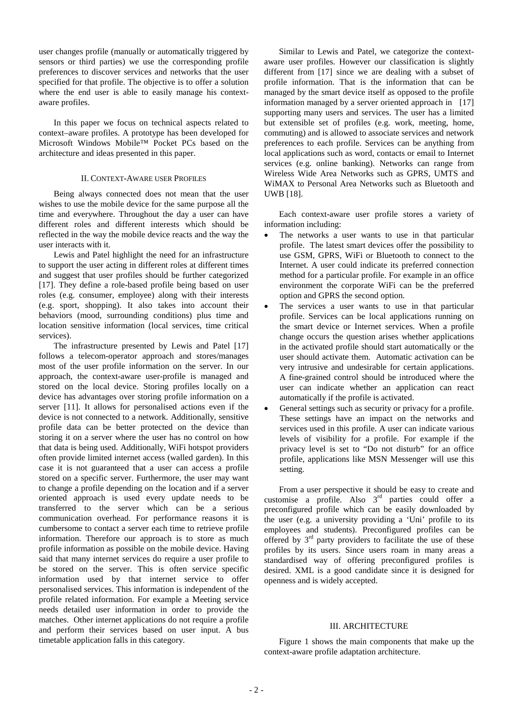user changes profile (manually or automatically triggered by sensors or third parties) we use the corresponding profile preferences to discover services and networks that the user specified for that profile. The objective is to offer a solution where the end user is able to easily manage his contextaware profiles.

In this paper we focus on technical aspects related to context–aware profiles. A prototype has been developed for Microsoft Windows Mobile™ Pocket PCs based on the architecture and ideas presented in this paper.

# II. CONTEXT-AWARE USER PROFILES

Being always connected does not mean that the user wishes to use the mobile device for the same purpose all the time and everywhere. Throughout the day a user can have different roles and different interests which should be reflected in the way the mobile device reacts and the way the user interacts with it.

Lewis and Patel highlight the need for an infrastructure to support the user acting in different roles at different times and suggest that user profiles should be further categorized [\[17\]](#page-5-11). They define a role-based profile being based on user roles (e.g. consumer, employee) along with their interests (e.g. sport, shopping). It also takes into account their behaviors (mood, surrounding conditions) plus time and location sensitive information (local services, time critical services).

The infrastructure presented by Lewis and Patel [\[17\]](#page-5-11) follows a telecom-operator approach and stores/manages most of the user profile information on the server. In our approach, the context-aware user-profile is managed and stored on the local device. Storing profiles locally on a device has advantages over storing profile information on a server [\[11\]](#page-5-12). It allows for personalised actions even if the device is not connected to a network. Additionally, sensitive profile data can be better protected on the device than storing it on a server where the user has no control on how that data is being used. Additionally, WiFi hotspot providers often provide limited internet access (walled garden). In this case it is not guaranteed that a user can access a profile stored on a specific server. Furthermore, the user may want to change a profile depending on the location and if a server oriented approach is used every update needs to be transferred to the server which can be a serious communication overhead. For performance reasons it is cumbersome to contact a server each time to retrieve profile information. Therefore our approach is to store as much profile information as possible on the mobile device. Having said that many internet services do require a user profile to be stored on the server. This is often service specific information used by that internet service to offer personalised services. This information is independent of the profile related information. For example a Meeting service needs detailed user information in order to provide the matches. Other internet applications do not require a profile and perform their services based on user input. A bus timetable application falls in this category.

Similar to Lewis and Patel, we categorize the contextaware user profiles. However our classification is slightly different from [\[17\]](#page-5-11) since we are dealing with a subset of profile information. That is the information that can be managed by the smart device itself as opposed to the profile information managed by a server oriented approach in [\[17\]](#page-5-11) supporting many users and services. The user has a limited but extensible set of profiles (e.g. work, meeting, home, commuting) and is allowed to associate services and network preferences to each profile. Services can be anything from local applications such as word, contacts or email to Internet services (e.g. online banking). Networks can range from Wireless Wide Area Networks such as GPRS, UMTS and WiMAX to Personal Area Networks such as Bluetooth and UW[B \[18\]](#page-5-13).

Each context-aware user profile stores a variety of information including:

- The networks a user wants to use in that particular profile. The latest smart devices offer the possibility to use GSM, GPRS, WiFi or Bluetooth to connect to the Internet. A user could indicate its preferred connection method for a particular profile. For example in an office environment the corporate WiFi can be the preferred option and GPRS the second option.
- The services a user wants to use in that particular profile. Services can be local applications running on the smart device or Internet services. When a profile change occurs the question arises whether applications in the activated profile should start automatically or the user should activate them. Automatic activation can be very intrusive and undesirable for certain applications. A fine-grained control should be introduced where the user can indicate whether an application can react automatically if the profile is activated.
- General settings such as security or privacy for a profile. These settings have an impact on the networks and services used in this profile. A user can indicate various levels of visibility for a profile. For example if the privacy level is set to "Do not disturb" for an office profile, applications like MSN Messenger will use this setting.

From a user perspective it should be easy to create and customise a profile. Also 3rd parties could offer a preconfigured profile which can be easily downloaded by the user (e.g. a university providing a 'Uni' profile to its employees and students). Preconfigured profiles can be offered by  $3<sup>rd</sup>$  party providers to facilitate the use of these profiles by its users. Since users roam in many areas a standardised way of offering preconfigured profiles is desired. XML is a good candidate since it is designed for openness and is widely accepted.

# III. ARCHITECTURE

[Figure 1](#page-3-0) shows the main components that make up the context-aware profile adaptation architecture.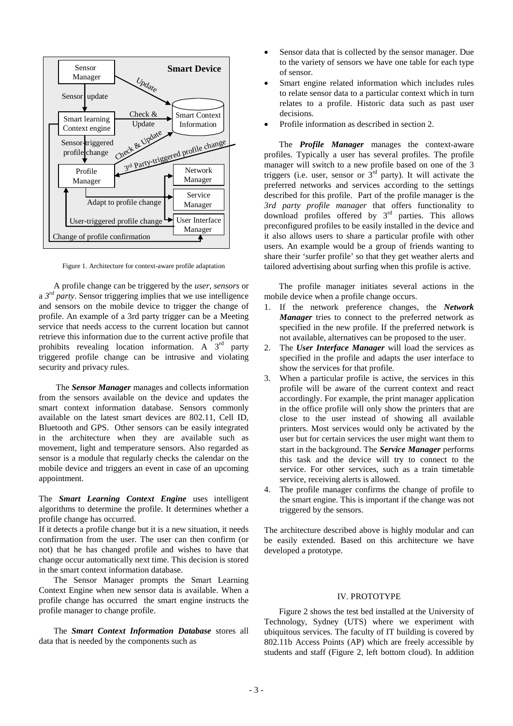

Figure 1. Architecture for context-aware profile adaptation

<span id="page-3-0"></span>A profile change can be triggered by the *user, sensors* or a *3rd party*. Sensor triggering implies that we use intelligence and sensors on the mobile device to trigger the change of profile. An example of a 3rd party trigger can be a Meeting service that needs access to the current location but cannot retrieve this information due to the current active profile that prohibits revealing location information. A  $3<sup>rd</sup>$  party triggered profile change can be intrusive and violating security and privacy rules.

The *Sensor Manager* manages and collects information from the sensors available on the device and updates the smart context information database. Sensors commonly available on the latest smart devices are 802.11, Cell ID, Bluetooth and GPS. Other sensors can be easily integrated in the architecture when they are available such as movement, light and temperature sensors. Also regarded as sensor is a module that regularly checks the calendar on the mobile device and triggers an event in case of an upcoming appointment.

The *Smart Learning Context Engine* uses intelligent algorithms to determine the profile. It determines whether a profile change has occurred.

If it detects a profile change but it is a new situation, it needs confirmation from the user. The user can then confirm (or not) that he has changed profile and wishes to have that change occur automatically next time. This decision is stored in the smart context information database.

The Sensor Manager prompts the Smart Learning Context Engine when new sensor data is available. When a profile change has occurred the smart engine instructs the profile manager to change profile.

The *Smart Context Information Database* stores all data that is needed by the components such as

- Sensor data that is collected by the sensor manager. Due to the variety of sensors we have one table for each type of sensor.
- Smart engine related information which includes rules to relate sensor data to a particular context which in turn relates to a profile. Historic data such as past user decisions.
- Profile information as described in section 2.

The *Profile Manager* manages the context-aware profiles. Typically a user has several profiles. The profile manager will switch to a new profile based on one of the 3 triggers (i.e. user, sensor or  $3<sup>rd</sup>$  party). It will activate the preferred networks and services according to the settings described for this profile. Part of the profile manager is the *3rd party profile manager* that offers functionality to download profiles offered by 3<sup>rd</sup> parties. This allows preconfigured profiles to be easily installed in the device and it also allows users to share a particular profile with other users. An example would be a group of friends wanting to share their 'surfer profile' so that they get weather alerts and tailored advertising about surfing when this profile is active.

The profile manager initiates several actions in the mobile device when a profile change occurs.

- 1. If the network preference changes, the *Network Manager* tries to connect to the preferred network as specified in the new profile. If the preferred network is not available, alternatives can be proposed to the user.
- 2. The *User Interface Manager* will load the services as specified in the profile and adapts the user interface to show the services for that profile.
- 3. When a particular profile is active, the services in this profile will be aware of the current context and react accordingly. For example, the print manager application in the office profile will only show the printers that are close to the user instead of showing all available printers. Most services would only be activated by the user but for certain services the user might want them to start in the background. The *Service Manager* performs this task and the device will try to connect to the service. For other services, such as a train timetable service, receiving alerts is allowed.
- 4. The profile manager confirms the change of profile to the smart engine. This is important if the change was not triggered by the sensors.

The architecture described above is highly modular and can be easily extended. Based on this architecture we have developed a prototype.

### IV. PROTOTYPE

[Figure 2](#page-4-0) shows the test bed installed at the University of Technology, Sydney (UTS) where we experiment with ubiquitous services. The faculty of IT building is covered by 802.11b Access Points (AP) which are freely accessible by students and staff [\(Figure 2,](#page-4-0) left bottom cloud). In addition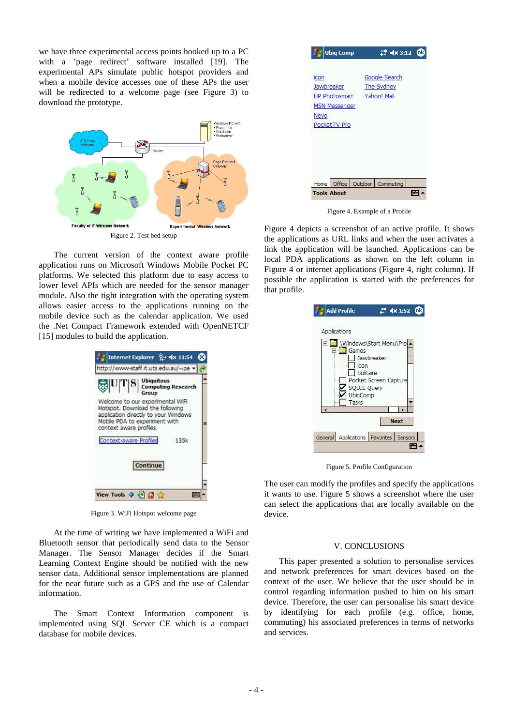we have three experimental access points hooked up to a PC with a 'page redirect' software installed [\[19\]](#page-5-14). The experimental APs simulate public hotspot providers and when a mobile device accesses one of these APs the user will be redirected to a welcome page (see [Figure 3\)](#page-4-1) to download the prototype.



<span id="page-4-0"></span>The current version of the context aware profile application runs on Microsoft Windows Mobile Pocket PC platforms. We selected this platform due to easy access to lower level APIs which are needed for the sensor manager module. Also the tight integration with the operating system allows easier access to the applications running on the mobile device such as the calendar application. We used the .Net Compact Framework extended with OpenNETCF [\[15\]](#page-5-15) modules to build the application.



Figure 3. WiFi Hotspot welcome page

<span id="page-4-1"></span>At the time of writing we have implemented a WiFi and Bluetooth sensor that periodically send data to the Sensor Manager. The Sensor Manager decides if the Smart Learning Context Engine should be notified with the new sensor data. Additional sensor implementations are planned for the near future such as a GPS and the use of Calendar information.

The Smart Context Information component is implemented using SQL Server CE which is a compact database for mobile devices.



Figure 4. Example of a Profile

<span id="page-4-2"></span>[Figure 4](#page-4-2) depicts a screenshot of an active profile. It shows the applications as URL links and when the user activates a link the application will be launched. Applications can be local PDA applications as shown on the left column in [Figure 4](#page-4-2) or internet applications [\(Figure 4,](#page-4-2) right column). If possible the application is started with the preferences for that profile.

| Applications           |                       |             |
|------------------------|-----------------------|-------------|
| Windows\Start Menu\Pro |                       |             |
| Games                  | Jawbreaker            |             |
| icon                   |                       |             |
| Solitaire              | Pocket Screen Capture |             |
| <b>SOLCE Query</b>     |                       |             |
|                        |                       |             |
| UbigComp               |                       |             |
| Tasks                  |                       |             |
| Ш                      |                       |             |
|                        |                       | <b>Next</b> |

Figure 5. Profile Configuration

<span id="page-4-3"></span>The user can modify the profiles and specify the applications it wants to use. [Figure 5](#page-4-3) shows a screenshot where the user can select the applications that are locally available on the device.

# V. CONCLUSIONS

This paper presented a solution to personalise services and network preferences for smart devices based on the context of the user. We believe that the user should be in control regarding information pushed to him on his smart device. Therefore, the user can personalise his smart device by identifying for each profile (e.g. office, home, commuting) his associated preferences in terms of networks and services.